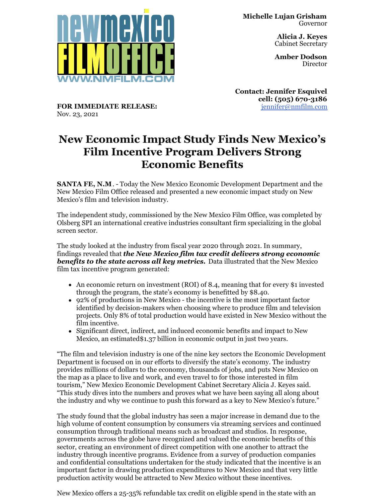

**Alicia J. Keyes** Cabinet Secretary

**Amber Dodson Director** 

**Contact: Jennifer Esquivel cell: (505) 670-3186** [jennifer@nmfilm.com](mailto:jennifer@nmfilm.com)

**FOR IMMEDIATE RELEASE:** Nov. 23, 2021

## **New Economic Impact Study Finds New Mexico's Film Incentive Program Delivers Strong Economic Benefits**

**SANTA FE, N.M**. - Today the New Mexico Economic Development Department and the New Mexico Film Office released and presented a new economic impact study on New Mexico's film and television industry.

The independent study, commissioned by the New Mexico Film Office, was completed by Olsberg SPI an international creative industries consultant firm specializing in the global screen sector.

The study looked at the industry from fiscal year 2020 through 2021. In summary, findings revealed that *the New Mexico film tax credit delivers strong economic benefits to the state across all key metrics.* Data illustrated that the New Mexico film tax incentive program generated:

- An economic return on investment (ROI) of 8.4, meaning that for every \$1 invested through the program, the state's economy is benefitted by \$8.40.
- 92% of productions in New Mexico the incentive is the most important factor identified by decision-makers when choosing where to produce film and television projects. Only 8% of total production would have existed in New Mexico without the film incentive.
- Significant direct, indirect, and induced economic benefits and impact to New Mexico, an estimated\$1.37 billion in economic output in just two years.

"The film and television industry is one of the nine key sectors the Economic Development Department is focused on in our efforts to diversify the state's economy. The industry provides millions of dollars to the economy, thousands of jobs, and puts New Mexico on the map as a place to live and work, and even travel to for those interested in film tourism," New Mexico Economic Development Cabinet Secretary Alicia J. Keyes said. "This study dives into the numbers and proves what we have been saying all along about the industry and why we continue to push this forward as a key to New Mexico's future."

The study found that the global industry has seen a major increase in demand due to the high volume of content consumption by consumers via streaming services and continued consumption through traditional means such as broadcast and studios. In response, governments across the globe have recognized and valued the economic benefits of this sector, creating an environment of direct competition with one another to attract the industry through incentive programs. Evidence from a survey of production companies and confidential consultations undertaken for the study indicated that the incentive is an important factor in drawing production expenditures to New Mexico and that very little production activity would be attracted to New Mexico without these incentives.

New Mexico offers a 25-35% refundable tax credit on eligible spend in the state with an